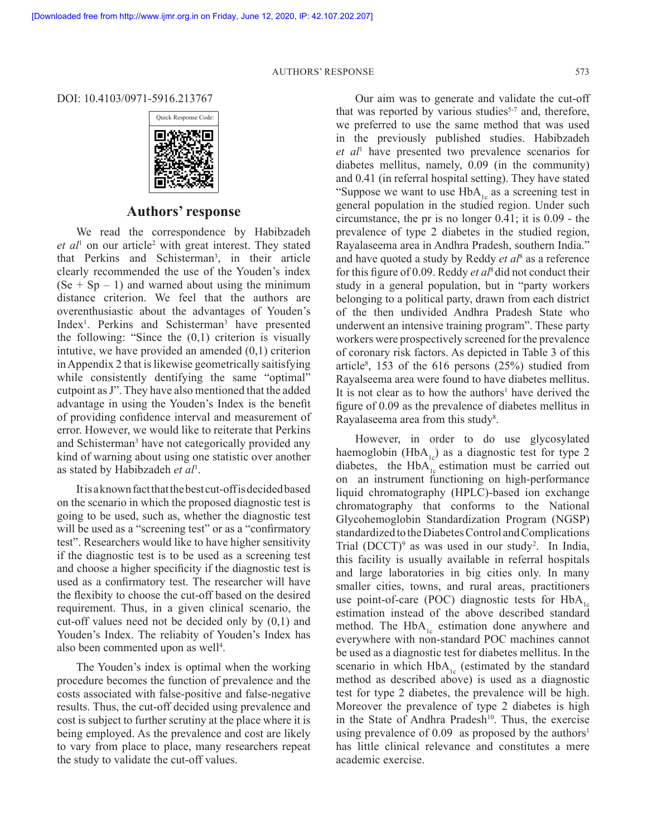AUTHORS' RESPONSE 573

DOI: 10.4103/0971-5916.213767



## **Authors' response**

We read the correspondence by Habibzadeh et al<sup>1</sup> on our article<sup>2</sup> with great interest. They stated that Perkins and Schisterman<sup>3</sup>, in their article clearly recommended the use of the Youden's index  $(Se + Sp - 1)$  and warned about using the minimum distance criterion. We feel that the authors are overenthusiastic about the advantages of Youden's Index<sup>1</sup>. Perkins and Schisterman<sup>3</sup> have presented the following: "Since the  $(0,1)$  criterion is visually intutive, we have provided an amended  $(0,1)$  criterion in Appendix 2 that is likewise geometrically saitisfying while consistently dentifying the same "optimal" cutpoint as J". They have also mentioned that the added advantage in using the Youden's Index is the benefit of providing confidence interval and measurement of error. However, we would like to reiterate that Perkins and Schisterman<sup>3</sup> have not categorically provided any kind of warning about using one statistic over another as stated by Habibzadeh *et al*<sup>1</sup> .

It is a known fact that the best cut-off is decided based on the scenario in which the proposed diagnostic test is going to be used, such as, whether the diagnostic test will be used as a "screening test" or as a "confirmatory" test". Researchers would like to have higher sensitivity if the diagnostic test is to be used as a screening test and choose a higher specificity if the diagnostic test is used as a confirmatory test. The researcher will have the flexibity to choose the cut-off based on the desired requirement. Thus, in a given clinical scenario, the cut-off values need not be decided only by (0,1) and Youden's Index. The reliabity of Youden's Index has also been commented upon as well<sup>4</sup>.

The Youden's index is optimal when the working procedure becomes the function of prevalence and the costs associated with false-positive and false-negative results. Thus, the cut-off decided using prevalence and cost is subject to further scrutiny at the place where it is being employed. As the prevalence and cost are likely to vary from place to place, many researchers repeat the study to validate the cut-off values.

Our aim was to generate and validate the cut-off that was reported by various studies<sup>5-7</sup> and, therefore, we preferred to use the same method that was used in the previously published studies. Habibzadeh *et al*<sup>1</sup> have presented two prevalence scenarios for diabetes mellitus, namely, 0.09 (in the community) and 0.41 (in referral hospital setting). They have stated "Suppose we want to use  $HbA_{1c}$  as a screening test in general population in the studied region. Under such circumstance, the pr is no longer 0.41; it is 0.09 - the prevalence of type 2 diabetes in the studied region, Rayalaseema area in Andhra Pradesh, southern India." and have quoted a study by Reddy *et al*<sup>8</sup> as a reference for this figure of 0.09. Reddy *et al*8 did not conduct their study in a general population, but in "party workers belonging to a political party, drawn from each district of the then undivided Andhra Pradesh State who underwent an intensive training program". These party workers were prospectively screened for the prevalence of coronary risk factors. As depicted in Table 3 of this article<sup>8</sup>, 153 of the 616 persons  $(25%)$  studied from Rayalseema area were found to have diabetes mellitus. It is not clear as to how the authors<sup>1</sup> have derived the figure of 0.09 as the prevalence of diabetes mellitus in Rayalaseema area from this study<sup>8</sup>.

However, in order to do use glycosylated haemoglobin (HbA<sub>1c</sub>) as a diagnostic test for type 2 diabetes, the  $HbA_{1c}$  estimation must be carried out on an instrument functioning on high-performance liquid chromatography (HPLC)-based ion exchange chromatography that conforms to the National Glycohemoglobin Standardization Program (NGSP) standardized to the Diabetes Control and Complications Trial  $(DCCT)^9$  as was used in our study<sup>2</sup>. In India, this facility is usually available in referral hospitals and large laboratories in big cities only. In many smaller cities, towns, and rural areas, practitioners use point-of-care (POC) diagnostic tests for  $HbA_{1c}$ estimation instead of the above described standard method. The  $HbA_{1c}$  estimation done anywhere and everywhere with non-standard POC machines cannot be used as a diagnostic test for diabetes mellitus. In the scenario in which  $HbA_{1c}$  (estimated by the standard method as described above) is used as a diagnostic test for type 2 diabetes, the prevalence will be high. Moreover the prevalence of type 2 diabetes is high in the State of Andhra Pradesh<sup>10</sup>. Thus, the exercise using prevalence of 0.09 as proposed by the authors<sup>1</sup> has little clinical relevance and constitutes a mere academic exercise.